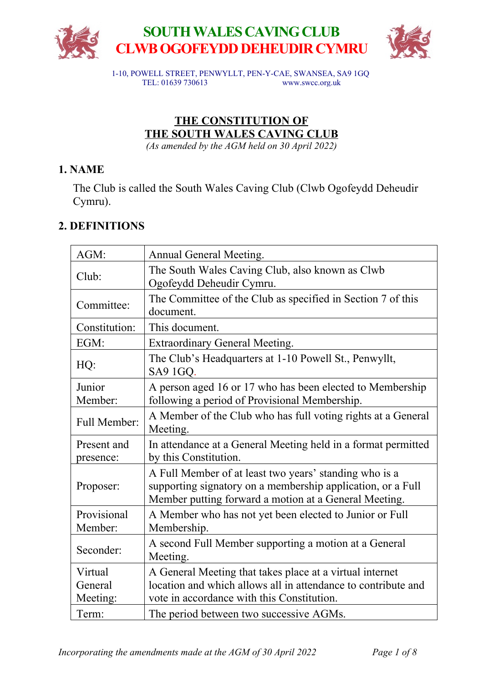



1-10, POWELL STREET, PENWYLLT, PEN-Y-CAE, SWANSEA, SA9 1GQ TEL: 01639 730613 www.swcc.org.uk

# **THE CONSTITUTION OF THE SOUTH WALES CAVING CLUB**

*(As amended by the AGM held on 30 April 2022)*

# **1. NAME**

The Club is called the South Wales Caving Club (Clwb Ogofeydd Deheudir Cymru).

# **2. DEFINITIONS**

| AGM:                           | Annual General Meeting.                                                                                                                                                        |
|--------------------------------|--------------------------------------------------------------------------------------------------------------------------------------------------------------------------------|
| Club:                          | The South Wales Caving Club, also known as Clwb<br>Ogofeydd Deheudir Cymru.                                                                                                    |
| Committee:                     | The Committee of the Club as specified in Section 7 of this<br>document.                                                                                                       |
| Constitution:                  | This document.                                                                                                                                                                 |
| EGM:                           | <b>Extraordinary General Meeting.</b>                                                                                                                                          |
| HQ:                            | The Club's Headquarters at 1-10 Powell St., Penwyllt,<br>SA9 1GQ.                                                                                                              |
| Junior<br>Member:              | A person aged 16 or 17 who has been elected to Membership<br>following a period of Provisional Membership.                                                                     |
| <b>Full Member:</b>            | A Member of the Club who has full voting rights at a General<br>Meeting.                                                                                                       |
| Present and<br>presence:       | In attendance at a General Meeting held in a format permitted<br>by this Constitution.                                                                                         |
| Proposer:                      | A Full Member of at least two years' standing who is a<br>supporting signatory on a membership application, or a Full<br>Member putting forward a motion at a General Meeting. |
| Provisional<br>Member:         | A Member who has not yet been elected to Junior or Full<br>Membership.                                                                                                         |
| Seconder:                      | A second Full Member supporting a motion at a General<br>Meeting.                                                                                                              |
| Virtual<br>General<br>Meeting: | A General Meeting that takes place at a virtual internet<br>location and which allows all in attendance to contribute and<br>vote in accordance with this Constitution.        |
| Term:                          | The period between two successive AGMs.                                                                                                                                        |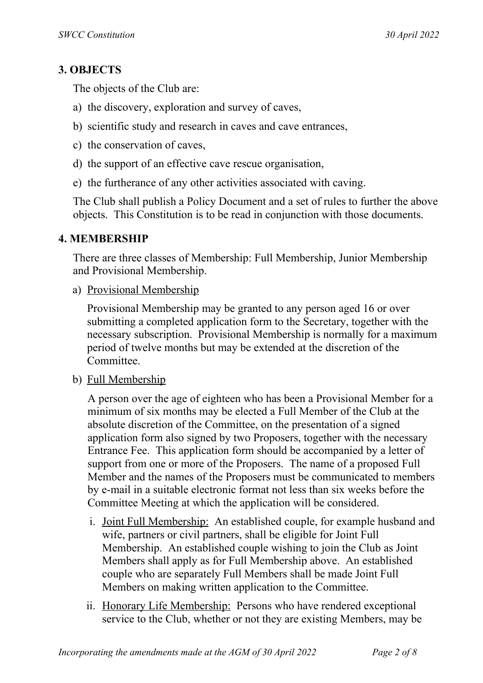# **3. OBJECTS**

The objects of the Club are:

- a) the discovery, exploration and survey of caves,
- b) scientific study and research in caves and cave entrances,
- c) the conservation of caves,
- d) the support of an effective cave rescue organisation,
- e) the furtherance of any other activities associated with caving.

The Club shall publish a Policy Document and a set of rules to further the above objects. This Constitution is to be read in conjunction with those documents.

## **4. MEMBERSHIP**

There are three classes of Membership: Full Membership, Junior Membership and Provisional Membership.

a) Provisional Membership

Provisional Membership may be granted to any person aged 16 or over submitting a completed application form to the Secretary, together with the necessary subscription. Provisional Membership is normally for a maximum period of twelve months but may be extended at the discretion of the Committee.

b) Full Membership

A person over the age of eighteen who has been a Provisional Member for a minimum of six months may be elected a Full Member of the Club at the absolute discretion of the Committee, on the presentation of a signed application form also signed by two Proposers, together with the necessary Entrance Fee. This application form should be accompanied by a letter of support from one or more of the Proposers. The name of a proposed Full Member and the names of the Proposers must be communicated to members by e-mail in a suitable electronic format not less than six weeks before the Committee Meeting at which the application will be considered.

- i. Joint Full Membership: An established couple, for example husband and wife, partners or civil partners, shall be eligible for Joint Full Membership. An established couple wishing to join the Club as Joint Members shall apply as for Full Membership above. An established couple who are separately Full Members shall be made Joint Full Members on making written application to the Committee.
- ii. Honorary Life Membership: Persons who have rendered exceptional service to the Club, whether or not they are existing Members, may be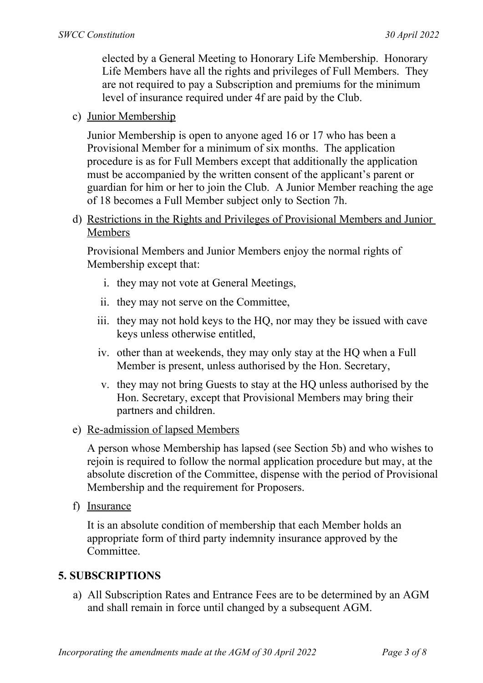elected by a General Meeting to Honorary Life Membership. Honorary Life Members have all the rights and privileges of Full Members. They are not required to pay a Subscription and premiums for the minimum level of insurance required under 4f are paid by the Club.

#### c) Junior Membership

Junior Membership is open to anyone aged 16 or 17 who has been a Provisional Member for a minimum of six months. The application procedure is as for Full Members except that additionally the application must be accompanied by the written consent of the applicant's parent or guardian for him or her to join the Club. A Junior Member reaching the age of 18 becomes a Full Member subject only to Section 7h.

d) Restrictions in the Rights and Privileges of Provisional Members and Junior Members

Provisional Members and Junior Members enjoy the normal rights of Membership except that:

- i. they may not vote at General Meetings,
- ii. they may not serve on the Committee,
- iii. they may not hold keys to the HQ, nor may they be issued with cave keys unless otherwise entitled,
- iv. other than at weekends, they may only stay at the HQ when a Full Member is present, unless authorised by the Hon. Secretary,
- v. they may not bring Guests to stay at the HQ unless authorised by the Hon. Secretary, except that Provisional Members may bring their partners and children.
- e) Re-admission of lapsed Members

A person whose Membership has lapsed (see Section 5b) and who wishes to rejoin is required to follow the normal application procedure but may, at the absolute discretion of the Committee, dispense with the period of Provisional Membership and the requirement for Proposers.

f) Insurance

It is an absolute condition of membership that each Member holds an appropriate form of third party indemnity insurance approved by the **Committee** 

#### **5. SUBSCRIPTIONS**

a) All Subscription Rates and Entrance Fees are to be determined by an AGM and shall remain in force until changed by a subsequent AGM.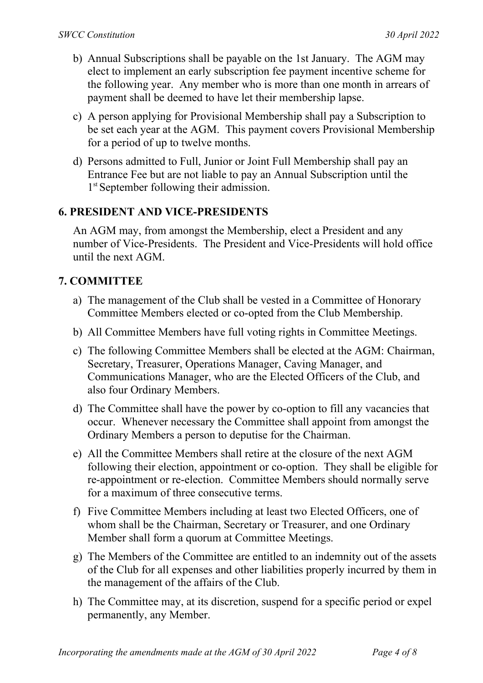- b) Annual Subscriptions shall be payable on the 1st January. The AGM may elect to implement an early subscription fee payment incentive scheme for the following year. Any member who is more than one month in arrears of payment shall be deemed to have let their membership lapse.
- c) A person applying for Provisional Membership shall pay a Subscription to be set each year at the AGM. This payment covers Provisional Membership for a period of up to twelve months.
- d) Persons admitted to Full, Junior or Joint Full Membership shall pay an Entrance Fee but are not liable to pay an Annual Subscription until the 1<sup>st</sup> September following their admission.

## **6. PRESIDENT AND VICE-PRESIDENTS**

An AGM may, from amongst the Membership, elect a President and any number of Vice-Presidents. The President and Vice-Presidents will hold office until the next AGM.

#### **7. COMMITTEE**

- a) The management of the Club shall be vested in a Committee of Honorary Committee Members elected or co-opted from the Club Membership.
- b) All Committee Members have full voting rights in Committee Meetings.
- c) The following Committee Members shall be elected at the AGM: Chairman, Secretary, Treasurer, Operations Manager, Caving Manager, and Communications Manager, who are the Elected Officers of the Club, and also four Ordinary Members.
- d) The Committee shall have the power by co-option to fill any vacancies that occur. Whenever necessary the Committee shall appoint from amongst the Ordinary Members a person to deputise for the Chairman.
- e) All the Committee Members shall retire at the closure of the next AGM following their election, appointment or co-option. They shall be eligible for re-appointment or re-election. Committee Members should normally serve for a maximum of three consecutive terms.
- f) Five Committee Members including at least two Elected Officers, one of whom shall be the Chairman, Secretary or Treasurer, and one Ordinary Member shall form a quorum at Committee Meetings.
- g) The Members of the Committee are entitled to an indemnity out of the assets of the Club for all expenses and other liabilities properly incurred by them in the management of the affairs of the Club.
- h) The Committee may, at its discretion, suspend for a specific period or expel permanently, any Member.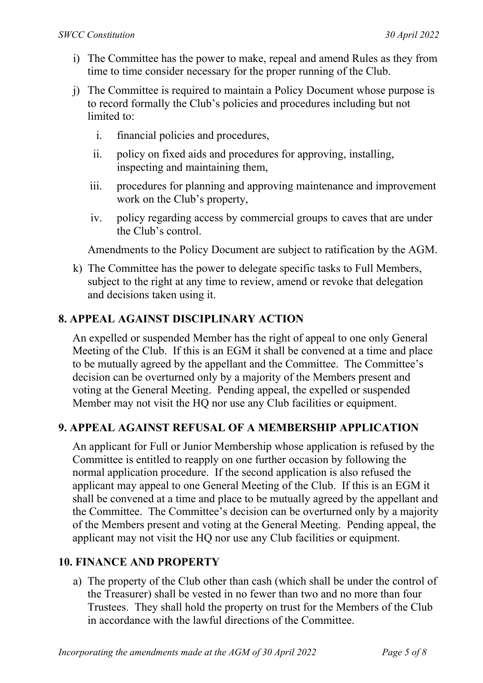- i) The Committee has the power to make, repeal and amend Rules as they from time to time consider necessary for the proper running of the Club.
- j) The Committee is required to maintain a Policy Document whose purpose is to record formally the Club's policies and procedures including but not limited to:
	- i. financial policies and procedures,
	- ii. policy on fixed aids and procedures for approving, installing, inspecting and maintaining them,
	- iii. procedures for planning and approving maintenance and improvement work on the Club's property,
	- iv. policy regarding access by commercial groups to caves that are under the Club's control.

Amendments to the Policy Document are subject to ratification by the AGM.

k) The Committee has the power to delegate specific tasks to Full Members, subject to the right at any time to review, amend or revoke that delegation and decisions taken using it.

## **8. APPEAL AGAINST DISCIPLINARY ACTION**

An expelled or suspended Member has the right of appeal to one only General Meeting of the Club. If this is an EGM it shall be convened at a time and place to be mutually agreed by the appellant and the Committee. The Committee's decision can be overturned only by a majority of the Members present and voting at the General Meeting. Pending appeal, the expelled or suspended Member may not visit the HQ nor use any Club facilities or equipment.

#### **9. APPEAL AGAINST REFUSAL OF A MEMBERSHIP APPLICATION**

An applicant for Full or Junior Membership whose application is refused by the Committee is entitled to reapply on one further occasion by following the normal application procedure. If the second application is also refused the applicant may appeal to one General Meeting of the Club. If this is an EGM it shall be convened at a time and place to be mutually agreed by the appellant and the Committee. The Committee's decision can be overturned only by a majority of the Members present and voting at the General Meeting. Pending appeal, the applicant may not visit the HQ nor use any Club facilities or equipment.

#### **10. FINANCE AND PROPERTY**

a) The property of the Club other than cash (which shall be under the control of the Treasurer) shall be vested in no fewer than two and no more than four Trustees. They shall hold the property on trust for the Members of the Club in accordance with the lawful directions of the Committee.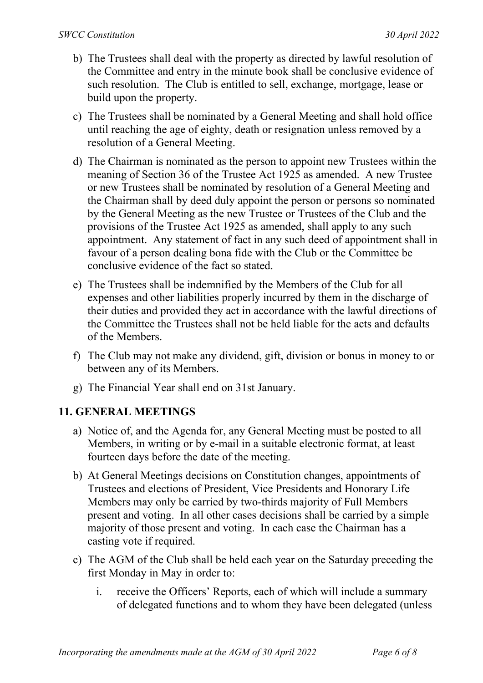- b) The Trustees shall deal with the property as directed by lawful resolution of the Committee and entry in the minute book shall be conclusive evidence of such resolution. The Club is entitled to sell, exchange, mortgage, lease or build upon the property.
- c) The Trustees shall be nominated by a General Meeting and shall hold office until reaching the age of eighty, death or resignation unless removed by a resolution of a General Meeting.
- d) The Chairman is nominated as the person to appoint new Trustees within the meaning of Section 36 of the Trustee Act 1925 as amended. A new Trustee or new Trustees shall be nominated by resolution of a General Meeting and the Chairman shall by deed duly appoint the person or persons so nominated by the General Meeting as the new Trustee or Trustees of the Club and the provisions of the Trustee Act 1925 as amended, shall apply to any such appointment. Any statement of fact in any such deed of appointment shall in favour of a person dealing bona fide with the Club or the Committee be conclusive evidence of the fact so stated.
- e) The Trustees shall be indemnified by the Members of the Club for all expenses and other liabilities properly incurred by them in the discharge of their duties and provided they act in accordance with the lawful directions of the Committee the Trustees shall not be held liable for the acts and defaults of the Members.
- f) The Club may not make any dividend, gift, division or bonus in money to or between any of its Members.
- g) The Financial Year shall end on 31st January.

## **11. GENERAL MEETINGS**

- a) Notice of, and the Agenda for, any General Meeting must be posted to all Members, in writing or by e-mail in a suitable electronic format, at least fourteen days before the date of the meeting.
- b) At General Meetings decisions on Constitution changes, appointments of Trustees and elections of President, Vice Presidents and Honorary Life Members may only be carried by two-thirds majority of Full Members present and voting. In all other cases decisions shall be carried by a simple majority of those present and voting. In each case the Chairman has a casting vote if required.
- c) The AGM of the Club shall be held each year on the Saturday preceding the first Monday in May in order to:
	- i. receive the Officers' Reports, each of which will include a summary of delegated functions and to whom they have been delegated (unless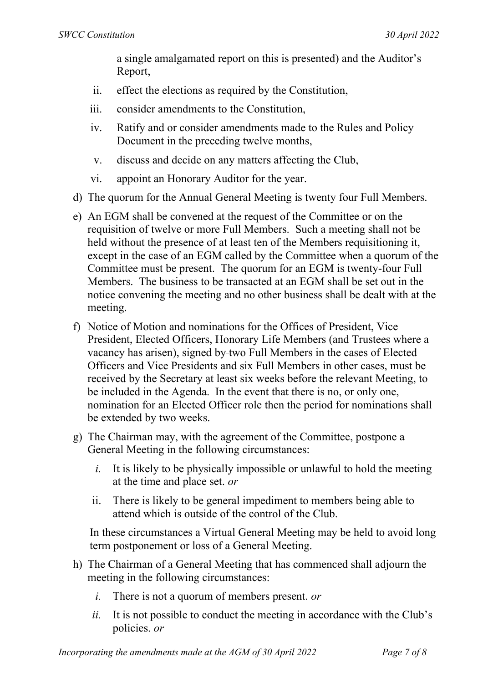a single amalgamated report on this is presented) and the Auditor's Report,

- ii. effect the elections as required by the Constitution,
- iii. consider amendments to the Constitution,
- iv. Ratify and or consider amendments made to the Rules and Policy Document in the preceding twelve months,
- v. discuss and decide on any matters affecting the Club,
- vi. appoint an Honorary Auditor for the year.
- d) The quorum for the Annual General Meeting is twenty four Full Members.
- e) An EGM shall be convened at the request of the Committee or on the requisition of twelve or more Full Members. Such a meeting shall not be held without the presence of at least ten of the Members requisitioning it, except in the case of an EGM called by the Committee when a quorum of the Committee must be present. The quorum for an EGM is twenty-four Full Members. The business to be transacted at an EGM shall be set out in the notice convening the meeting and no other business shall be dealt with at the meeting.
- f) Notice of Motion and nominations for the Offices of President, Vice President, Elected Officers, Honorary Life Members (and Trustees where a vacancy has arisen), signed by two Full Members in the cases of Elected Officers and Vice Presidents and six Full Members in other cases, must be received by the Secretary at least six weeks before the relevant Meeting, to be included in the Agenda. In the event that there is no, or only one, nomination for an Elected Officer role then the period for nominations shall be extended by two weeks.
- g) The Chairman may, with the agreement of the Committee, postpone a General Meeting in the following circumstances:
	- *i.* It is likely to be physically impossible or unlawful to hold the meeting at the time and place set. *or*
	- ii. There is likely to be general impediment to members being able to attend which is outside of the control of the Club.

In these circumstances a Virtual General Meeting may be held to avoid long term postponement or loss of a General Meeting.

- h) The Chairman of a General Meeting that has commenced shall adjourn the meeting in the following circumstances:
	- *i.* There is not a quorum of members present. *or*
	- *ii.* It is not possible to conduct the meeting in accordance with the Club's policies. *or*